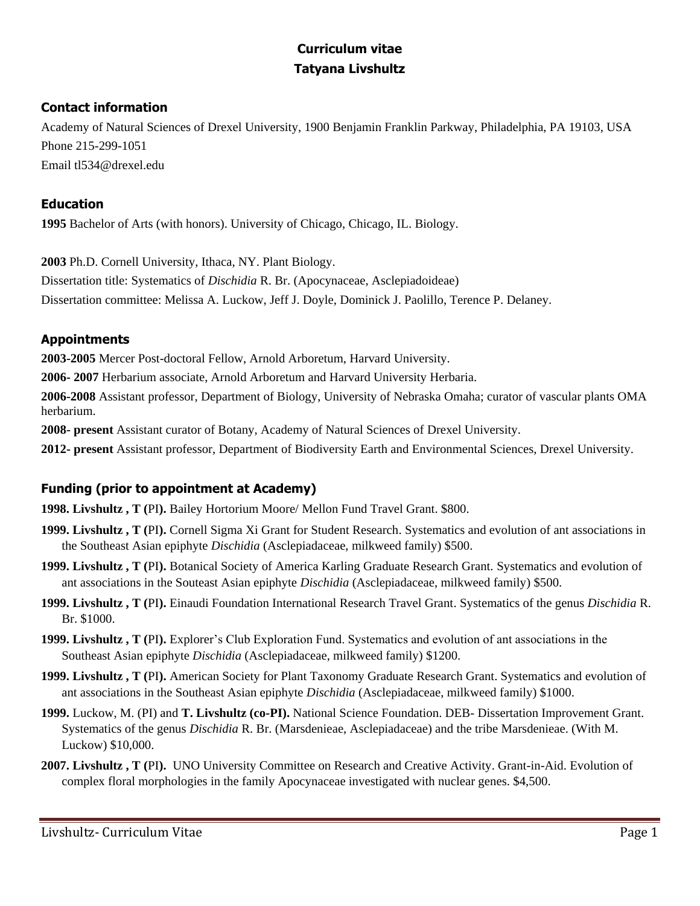# **Curriculum vitae Tatyana Livshultz**

# **Contact information**

Academy of Natural Sciences of Drexel University, 1900 Benjamin Franklin Parkway, Philadelphia, PA 19103, USA Phone 215-299-1051 Email tl534@drexel.edu

# **Education**

**1995** Bachelor of Arts (with honors). University of Chicago, Chicago, IL. Biology.

**2003** Ph.D. Cornell University, Ithaca, NY. Plant Biology. Dissertation title: Systematics of *Dischidia* R. Br. (Apocynaceae, Asclepiadoideae) Dissertation committee: Melissa A. Luckow, Jeff J. Doyle, Dominick J. Paolillo, Terence P. Delaney.

# **Appointments**

**2003-2005** Mercer Post-doctoral Fellow, Arnold Arboretum, Harvard University.

**2006- 2007** Herbarium associate, Arnold Arboretum and Harvard University Herbaria.

**2006-2008** Assistant professor, Department of Biology, University of Nebraska Omaha; curator of vascular plants OMA herbarium.

**2008- present** Assistant curator of Botany, Academy of Natural Sciences of Drexel University.

**2012- present** Assistant professor, Department of Biodiversity Earth and Environmental Sciences, Drexel University.

# **Funding (prior to appointment at Academy)**

**1998. Livshultz , T (**PI**).** Bailey Hortorium Moore/ Mellon Fund Travel Grant. \$800.

- **1999. Livshultz , T (**PI**).** Cornell Sigma Xi Grant for Student Research. Systematics and evolution of ant associations in the Southeast Asian epiphyte *Dischidia* (Asclepiadaceae, milkweed family) \$500.
- **1999. Livshultz , T (**PI**).** Botanical Society of America Karling Graduate Research Grant. Systematics and evolution of ant associations in the Souteast Asian epiphyte *Dischidia* (Asclepiadaceae, milkweed family) \$500.
- **1999. Livshultz , T (**PI**).** Einaudi Foundation International Research Travel Grant. Systematics of the genus *Dischidia* R. Br. \$1000.
- **1999. Livshultz , T (**PI**).** Explorer's Club Exploration Fund. Systematics and evolution of ant associations in the Southeast Asian epiphyte *Dischidia* (Asclepiadaceae, milkweed family) \$1200.
- **1999. Livshultz , T (**PI**).** American Society for Plant Taxonomy Graduate Research Grant. Systematics and evolution of ant associations in the Southeast Asian epiphyte *Dischidia* (Asclepiadaceae, milkweed family) \$1000.
- **1999.** Luckow, M. (PI) and **T. Livshultz (co-PI).** National Science Foundation. DEB- Dissertation Improvement Grant. Systematics of the genus *Dischidia* R. Br. (Marsdenieae, Asclepiadaceae) and the tribe Marsdenieae. (With M. Luckow) \$10,000.
- **2007. Livshultz , T (**PI**).** UNO University Committee on Research and Creative Activity. Grant-in-Aid. Evolution of complex floral morphologies in the family Apocynaceae investigated with nuclear genes. \$4,500.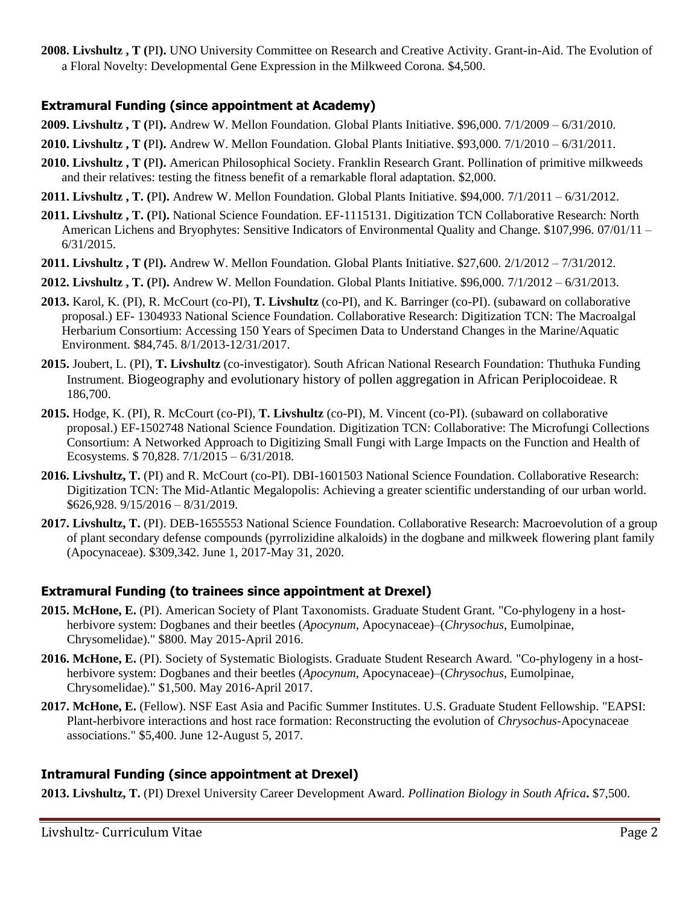**2008. Livshultz , T (**PI**).** UNO University Committee on Research and Creative Activity. Grant-in-Aid. The Evolution of a Floral Novelty: Developmental Gene Expression in the Milkweed Corona. \$4,500.

## **Extramural Funding (since appointment at Academy)**

- **2009. Livshultz , T (**PI**).** Andrew W. Mellon Foundation*.* Global Plants Initiative. \$96,000. 7/1/2009 6/31/2010.
- **2010. Livshultz , T (**PI**).** Andrew W. Mellon Foundation. Global Plants Initiative. \$93,000. 7/1/2010 6/31/2011.
- **2010. Livshultz , T (**PI**).** American Philosophical Society. Franklin Research Grant. Pollination of primitive milkweeds and their relatives: testing the fitness benefit of a remarkable floral adaptation. \$2,000.
- **2011. Livshultz , T. (**PI**).** Andrew W. Mellon Foundation. Global Plants Initiative. \$94,000. 7/1/2011 6/31/2012.
- **2011. Livshultz , T. (**PI**).** National Science Foundation. EF-1115131. Digitization TCN Collaborative Research: North American Lichens and Bryophytes: Sensitive Indicators of Environmental Quality and Change. \$107,996. 07/01/11 – 6/31/2015.
- **2011. Livshultz , T (**PI**).** Andrew W. Mellon Foundation. Global Plants Initiative. \$27,600. 2/1/2012 7/31/2012.
- **2012. Livshultz , T. (**PI**).** Andrew W. Mellon Foundation. Global Plants Initiative. \$96,000. 7/1/2012 6/31/2013.
- **2013.** Karol, K. (PI), R. McCourt (co-PI), **T. Livshultz** (co-PI), and K. Barringer (co-PI). (subaward on collaborative proposal.) EF- 1304933 National Science Foundation. Collaborative Research: Digitization TCN: The Macroalgal Herbarium Consortium: Accessing 150 Years of Specimen Data to Understand Changes in the Marine/Aquatic Environment. \$84,745. 8/1/2013-12/31/2017.
- **2015.** Joubert, L. (PI), **T. Livshultz** (co-investigator). South African National Research Foundation: Thuthuka Funding Instrument. Biogeography and evolutionary history of pollen aggregation in African Periplocoideae. R 186,700.
- **2015.** Hodge, K. (PI), R. McCourt (co-PI), **T. Livshultz** (co-PI), M. Vincent (co-PI). (subaward on collaborative proposal.) EF-1502748 National Science Foundation. Digitization TCN: Collaborative: The Microfungi Collections Consortium: A Networked Approach to Digitizing Small Fungi with Large Impacts on the Function and Health of Ecosystems. \$ 70,828. 7/1/2015 – 6/31/2018.
- **2016. Livshultz, T.** (PI) and R. McCourt (co-PI). DBI-1601503 National Science Foundation. Collaborative Research: Digitization TCN: The Mid-Atlantic Megalopolis: Achieving a greater scientific understanding of our urban world. \$626,928. 9/15/2016 – 8/31/2019.
- **2017. Livshultz, T.** (PI). DEB-1655553 National Science Foundation. Collaborative Research: Macroevolution of a group of plant secondary defense compounds (pyrrolizidine alkaloids) in the dogbane and milkweek flowering plant family (Apocynaceae). \$309,342. June 1, 2017-May 31, 2020.

# **Extramural Funding (to trainees since appointment at Drexel)**

- **2015. McHone, E.** (PI). American Society of Plant Taxonomists. Graduate Student Grant. "Co-phylogeny in a hostherbivore system: Dogbanes and their beetles (*Apocynum*, Apocynaceae)–(*Chrysochus*, Eumolpinae, Chrysomelidae)." \$800. May 2015-April 2016.
- **2016. McHone, E.** (PI). Society of Systematic Biologists. Graduate Student Research Award. "Co-phylogeny in a hostherbivore system: Dogbanes and their beetles (*Apocynum*, Apocynaceae)–(*Chrysochus*, Eumolpinae, Chrysomelidae)." \$1,500. May 2016-April 2017.
- **2017. McHone, E.** (Fellow). NSF East Asia and Pacific Summer Institutes. U.S. Graduate Student Fellowship. "EAPSI: Plant-herbivore interactions and host race formation: Reconstructing the evolution of *Chrysochus*-Apocynaceae associations." \$5,400. June 12-August 5, 2017.

### **Intramural Funding (since appointment at Drexel)**

**2013. Livshultz, T.** (PI) Drexel University Career Development Award. *Pollination Biology in South Africa***.** \$7,500.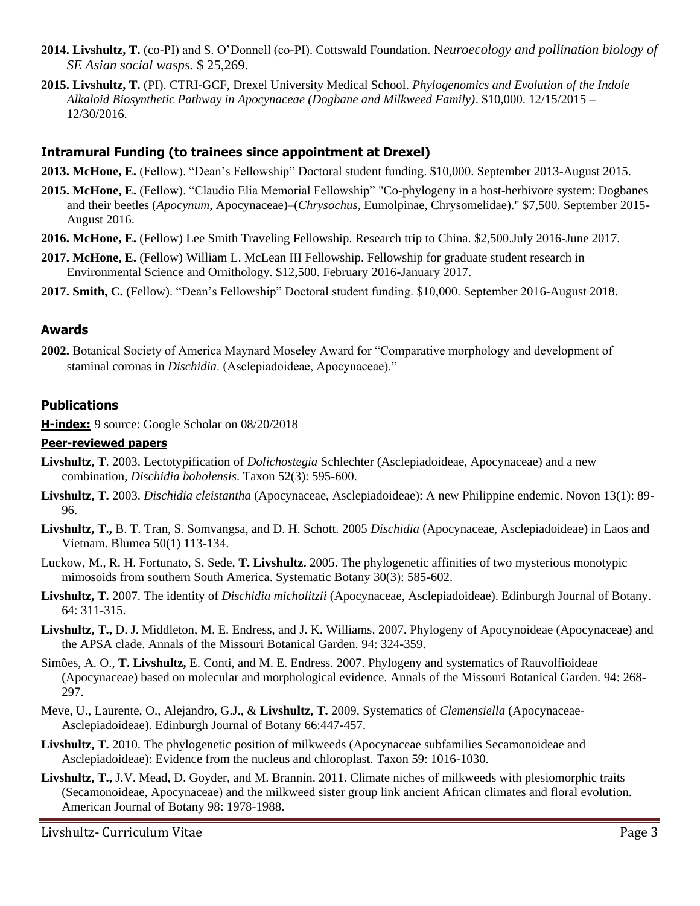- **2014. Livshultz, T.** (co-PI) and S. O'Donnell (co-PI). Cottswald Foundation. N*euroecology and pollination biology of SE Asian social wasps.* \$ 25,269.
- **2015. Livshultz, T.** (PI). CTRI-GCF, Drexel University Medical School. *Phylogenomics and Evolution of the Indole Alkaloid Biosynthetic Pathway in Apocynaceae (Dogbane and Milkweed Family)*. \$10,000. 12/15/2015 – 12/30/2016.

## **Intramural Funding (to trainees since appointment at Drexel)**

- **2013. McHone, E.** (Fellow). "Dean's Fellowship" Doctoral student funding. \$10,000. September 2013-August 2015.
- **2015. McHone, E.** (Fellow). "Claudio Elia Memorial Fellowship" "Co-phylogeny in a host-herbivore system: Dogbanes and their beetles (*Apocynum*, Apocynaceae)–(*Chrysochus*, Eumolpinae, Chrysomelidae)." \$7,500. September 2015- August 2016.
- **2016. McHone, E.** (Fellow) Lee Smith Traveling Fellowship. Research trip to China. \$2,500.July 2016-June 2017.
- **2017. McHone, E.** (Fellow) William L. McLean III Fellowship. Fellowship for graduate student research in Environmental Science and Ornithology. \$12,500. February 2016-January 2017.
- **2017. Smith, C.** (Fellow). "Dean's Fellowship" Doctoral student funding. \$10,000. September 2016-August 2018.

## **Awards**

**2002.** Botanical Society of America Maynard Moseley Award for "Comparative morphology and development of staminal coronas in *Dischidia*. (Asclepiadoideae, Apocynaceae)."

### **Publications**

**H-index:** 9 source: Google Scholar on 08/20/2018

#### **Peer-reviewed papers**

- **Livshultz, T**. 2003. Lectotypification of *Dolichostegia* Schlechter (Asclepiadoideae, Apocynaceae) and a new combination, *Dischidia boholensis*. Taxon 52(3): 595-600.
- **Livshultz, T.** 2003. *Dischidia cleistantha* (Apocynaceae, Asclepiadoideae): A new Philippine endemic. Novon 13(1): 89- 96.
- **Livshultz, T.,** B. T. Tran, S. Somvangsa, and D. H. Schott. 2005 *Dischidia* (Apocynaceae, Asclepiadoideae) in Laos and Vietnam. Blumea 50(1) 113-134.
- Luckow, M., R. H. Fortunato, S. Sede, **T. Livshultz.** 2005. The phylogenetic affinities of two mysterious monotypic mimosoids from southern South America. Systematic Botany 30(3): 585-602.
- **Livshultz, T.** 2007. The identity of *Dischidia micholitzii* (Apocynaceae, Asclepiadoideae). Edinburgh Journal of Botany. 64: 311-315.
- **Livshultz, T.,** D. J. Middleton, M. E. Endress, and J. K. Williams. 2007. Phylogeny of Apocynoideae (Apocynaceae) and the APSA clade. Annals of the Missouri Botanical Garden. 94: 324-359.
- Simões, A. O., **T. Livshultz,** E. Conti, and M. E. Endress. 2007. Phylogeny and systematics of Rauvolfioideae (Apocynaceae) based on molecular and morphological evidence. Annals of the Missouri Botanical Garden. 94: 268- 297.
- Meve, U., Laurente, O., Alejandro, G.J., & **Livshultz, T.** 2009. Systematics of *Clemensiella* (Apocynaceae-Asclepiadoideae). Edinburgh Journal of Botany 66:447-457.
- **Livshultz, T.** 2010. The phylogenetic position of milkweeds (Apocynaceae subfamilies Secamonoideae and Asclepiadoideae): Evidence from the nucleus and chloroplast. Taxon 59: 1016-1030.
- **Livshultz, T.,** J.V. Mead, D. Goyder, and M. Brannin. 2011. Climate niches of milkweeds with plesiomorphic traits (Secamonoideae, Apocynaceae) and the milkweed sister group link ancient African climates and floral evolution. American Journal of Botany 98: 1978-1988.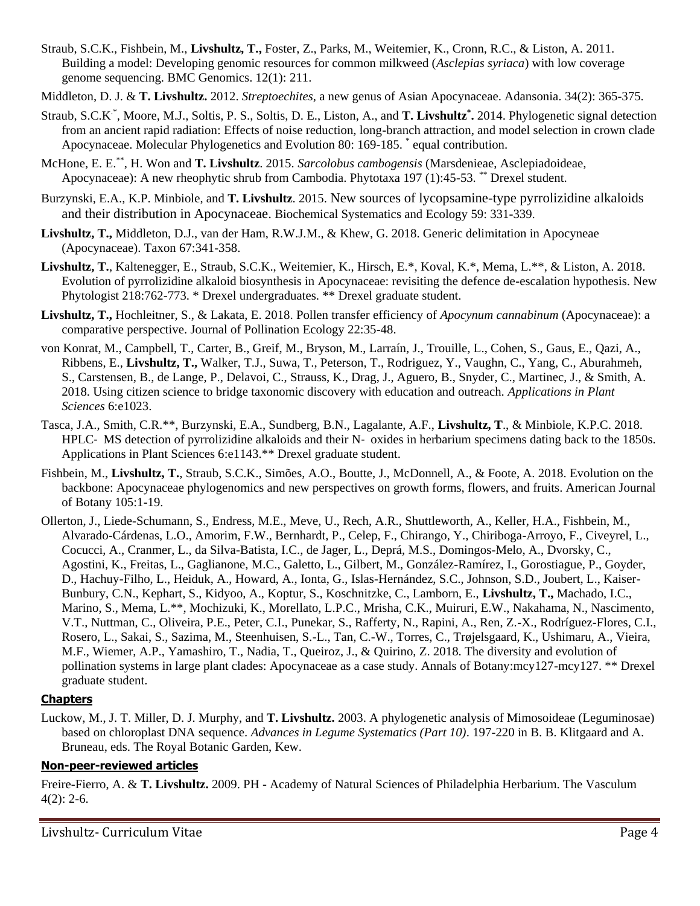- Straub, S.C.K., Fishbein, M., **Livshultz, T.,** Foster, Z., Parks, M., Weitemier, K., Cronn, R.C., & Liston, A. 2011. Building a model: Developing genomic resources for common milkweed (*Asclepias syriaca*) with low coverage genome sequencing. BMC Genomics. 12(1): 211.
- Middleton, D. J. & **T. Livshultz.** 2012. *Streptoechites*, a new genus of Asian Apocynaceae. Adansonia. 34(2): 365-375.
- Straub, S.C.K<sup>\*</sup>, Moore, M.J., Soltis, P. S., Soltis, D. E., Liston, A., and T. Livshultz<sup>\*</sup>. 2014. Phylogenetic signal detection from an ancient rapid radiation: Effects of noise reduction, long-branch attraction, and model selection in crown clade Apocynaceae. Molecular Phylogenetics and Evolution 80: 169-185. \* equal contribution.
- McHone, E. E.\*\*, H. Won and **T. Livshultz**. 2015. *Sarcolobus cambogensis* (Marsdenieae, Asclepiadoideae, Apocynaceae): A new rheophytic shrub from Cambodia. Phytotaxa 197 (1):45-53. \*\* Drexel student.
- Burzynski, E.A., K.P. Minbiole, and **T. Livshultz**. 2015. New sources of lycopsamine-type pyrrolizidine alkaloids and their distribution in Apocynaceae. Biochemical Systematics and Ecology 59: 331-339.
- **Livshultz, T.,** Middleton, D.J., van der Ham, R.W.J.M., & Khew, G. 2018. Generic delimitation in Apocyneae (Apocynaceae). Taxon 67:341-358.
- **Livshultz, T.**, Kaltenegger, E., Straub, S.C.K., Weitemier, K., Hirsch, E.\*, Koval, K.\*, Mema, L.\*\*, & Liston, A. 2018. Evolution of pyrrolizidine alkaloid biosynthesis in Apocynaceae: revisiting the defence de-escalation hypothesis. New Phytologist 218:762-773. \* Drexel undergraduates. \*\* Drexel graduate student.
- **Livshultz, T.,** Hochleitner, S., & Lakata, E. 2018. Pollen transfer efficiency of *Apocynum cannabinum* (Apocynaceae): a comparative perspective. Journal of Pollination Ecology 22:35-48.
- von Konrat, M., Campbell, T., Carter, B., Greif, M., Bryson, M., Larraín, J., Trouille, L., Cohen, S., Gaus, E., Qazi, A., Ribbens, E., **Livshultz, T.,** Walker, T.J., Suwa, T., Peterson, T., Rodriguez, Y., Vaughn, C., Yang, C., Aburahmeh, S., Carstensen, B., de Lange, P., Delavoi, C., Strauss, K., Drag, J., Aguero, B., Snyder, C., Martinec, J., & Smith, A. 2018. Using citizen science to bridge taxonomic discovery with education and outreach. *Applications in Plant Sciences* 6:e1023.
- Tasca, J.A., Smith, C.R.\*\*, Burzynski, E.A., Sundberg, B.N., Lagalante, A.F., **Livshultz, T**., & Minbiole, K.P.C. 2018. HPLC‐ MS detection of pyrrolizidine alkaloids and their N‐ oxides in herbarium specimens dating back to the 1850s. Applications in Plant Sciences 6:e1143.\*\* Drexel graduate student.
- Fishbein, M., **Livshultz, T.**, Straub, S.C.K., Simões, A.O., Boutte, J., McDonnell, A., & Foote, A. 2018. Evolution on the backbone: Apocynaceae phylogenomics and new perspectives on growth forms, flowers, and fruits. American Journal of Botany 105:1-19.
- Ollerton, J., Liede-Schumann, S., Endress, M.E., Meve, U., Rech, A.R., Shuttleworth, A., Keller, H.A., Fishbein, M., Alvarado-Cárdenas, L.O., Amorim, F.W., Bernhardt, P., Celep, F., Chirango, Y., Chiriboga-Arroyo, F., Civeyrel, L., Cocucci, A., Cranmer, L., da Silva-Batista, I.C., de Jager, L., Deprá, M.S., Domingos-Melo, A., Dvorsky, C., Agostini, K., Freitas, L., Gaglianone, M.C., Galetto, L., Gilbert, M., González-Ramírez, I., Gorostiague, P., Goyder, D., Hachuy-Filho, L., Heiduk, A., Howard, A., Ionta, G., Islas-Hernández, S.C., Johnson, S.D., Joubert, L., Kaiser-Bunbury, C.N., Kephart, S., Kidyoo, A., Koptur, S., Koschnitzke, C., Lamborn, E., **Livshultz, T.,** Machado, I.C., Marino, S., Mema, L.\*\*, Mochizuki, K., Morellato, L.P.C., Mrisha, C.K., Muiruri, E.W., Nakahama, N., Nascimento, V.T., Nuttman, C., Oliveira, P.E., Peter, C.I., Punekar, S., Rafferty, N., Rapini, A., Ren, Z.-X., Rodríguez-Flores, C.I., Rosero, L., Sakai, S., Sazima, M., Steenhuisen, S.-L., Tan, C.-W., Torres, C., Trøjelsgaard, K., Ushimaru, A., Vieira, M.F., Wiemer, A.P., Yamashiro, T., Nadia, T., Queiroz, J., & Quirino, Z. 2018. The diversity and evolution of pollination systems in large plant clades: Apocynaceae as a case study. Annals of Botany:mcy127-mcy127. \*\* Drexel graduate student.

### **Chapters**

Luckow, M., J. T. Miller, D. J. Murphy, and **T. Livshultz.** 2003. A phylogenetic analysis of Mimosoideae (Leguminosae) based on chloroplast DNA sequence. *Advances in Legume Systematics (Part 10)*. 197-220 in B. B. Klitgaard and A. Bruneau, eds. The Royal Botanic Garden, Kew.

#### **Non-peer-reviewed articles**

Freire-Fierro, A. & **T. Livshultz.** 2009. PH - Academy of Natural Sciences of Philadelphia Herbarium. The Vasculum  $4(2): 2-6.$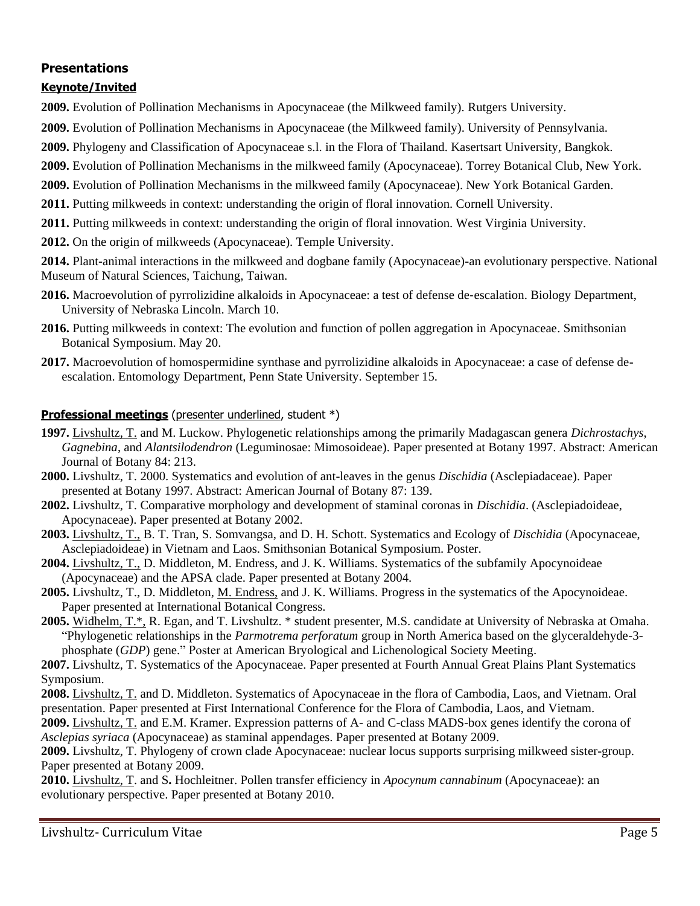# **Presentations**

# **Keynote/Invited**

- **2009.** Evolution of Pollination Mechanisms in Apocynaceae (the Milkweed family). Rutgers University.
- **2009.** Evolution of Pollination Mechanisms in Apocynaceae (the Milkweed family). University of Pennsylvania.
- **2009.** Phylogeny and Classification of Apocynaceae s.l. in the Flora of Thailand. Kasertsart University, Bangkok.
- **2009.** Evolution of Pollination Mechanisms in the milkweed family (Apocynaceae). Torrey Botanical Club, New York.
- **2009.** Evolution of Pollination Mechanisms in the milkweed family (Apocynaceae). New York Botanical Garden.
- **2011.** Putting milkweeds in context: understanding the origin of floral innovation. Cornell University.
- **2011.** Putting milkweeds in context: understanding the origin of floral innovation. West Virginia University.
- **2012.** On the origin of milkweeds (Apocynaceae). Temple University.

**2014.** Plant-animal interactions in the milkweed and dogbane family (Apocynaceae)-an evolutionary perspective. National Museum of Natural Sciences, Taichung, Taiwan.

- **2016.** Macroevolution of pyrrolizidine alkaloids in Apocynaceae: a test of defense de‐escalation. Biology Department, University of Nebraska Lincoln. March 10.
- **2016.** Putting milkweeds in context: The evolution and function of pollen aggregation in Apocynaceae. Smithsonian Botanical Symposium. May 20.
- **2017.** Macroevolution of homospermidine synthase and pyrrolizidine alkaloids in Apocynaceae: a case of defense deescalation. Entomology Department, Penn State University. September 15.

# **Professional meetings** (presenter underlined, student \*)

- **1997.** Livshultz, T. and M. Luckow. Phylogenetic relationships among the primarily Madagascan genera *Dichrostachys*, *Gagnebina*, and *Alantsilodendron* (Leguminosae: Mimosoideae). Paper presented at Botany 1997. Abstract: American Journal of Botany 84: 213.
- **2000.** Livshultz, T. 2000. Systematics and evolution of ant-leaves in the genus *Dischidia* (Asclepiadaceae). Paper presented at Botany 1997. Abstract: American Journal of Botany 87: 139.
- **2002.** Livshultz, T. Comparative morphology and development of staminal coronas in *Dischidia*. (Asclepiadoideae, Apocynaceae). Paper presented at Botany 2002.
- **2003.** Livshultz, T., B. T. Tran, S. Somvangsa, and D. H. Schott. Systematics and Ecology of *Dischidia* (Apocynaceae, Asclepiadoideae) in Vietnam and Laos. Smithsonian Botanical Symposium. Poster.
- **2004.** Livshultz, T., D. Middleton, M. Endress, and J. K. Williams. Systematics of the subfamily Apocynoideae (Apocynaceae) and the APSA clade. Paper presented at Botany 2004.
- **2005.** Livshultz, T., D. Middleton, M. Endress, and J. K. Williams. Progress in the systematics of the Apocynoideae. Paper presented at International Botanical Congress.
- **2005.** Widhelm, T.\*, R. Egan, and T. Livshultz. \* student presenter, M.S. candidate at University of Nebraska at Omaha. "Phylogenetic relationships in the *Parmotrema perforatum* group in North America based on the glyceraldehyde-3 phosphate (*GDP*) gene." Poster at American Bryological and Lichenological Society Meeting.
- **2007.** Livshultz, T. Systematics of the Apocynaceae. Paper presented at Fourth Annual Great Plains Plant Systematics Symposium.
- **2008.** Livshultz, T. and D. Middleton. Systematics of Apocynaceae in the flora of Cambodia, Laos, and Vietnam. Oral presentation. Paper presented at First International Conference for the Flora of Cambodia, Laos, and Vietnam.

**2009.** Livshultz, T. and E.M. Kramer. Expression patterns of A- and C-class MADS-box genes identify the corona of *Asclepias syriaca* (Apocynaceae) as staminal appendages. Paper presented at Botany 2009.

**2009.** Livshultz, T. Phylogeny of crown clade Apocynaceae: nuclear locus supports surprising milkweed sister-group. Paper presented at Botany 2009.

**2010.** Livshultz, T. and S**.** Hochleitner. Pollen transfer efficiency in *Apocynum cannabinum* (Apocynaceae): an evolutionary perspective. Paper presented at Botany 2010.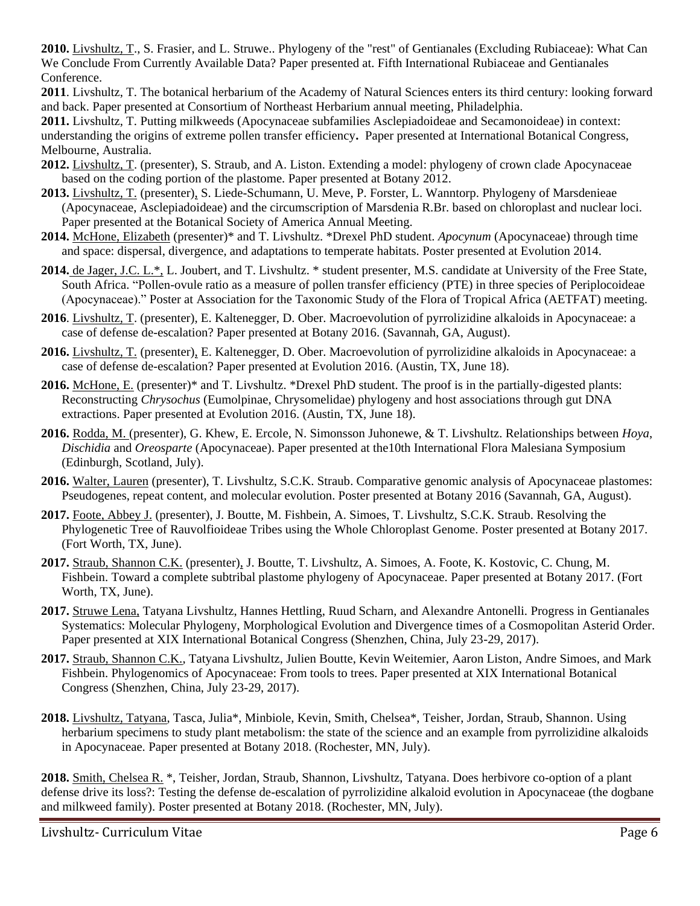**2010.** Livshultz, T., S. Frasier, and L. Struwe.. Phylogeny of the "rest" of Gentianales (Excluding Rubiaceae): What Can We Conclude From Currently Available Data? Paper presented at. Fifth International Rubiaceae and Gentianales Conference.

**2011**. Livshultz, T. The botanical herbarium of the Academy of Natural Sciences enters its third century: looking forward and back. Paper presented at Consortium of Northeast Herbarium annual meeting, Philadelphia.

**2011.** Livshultz, T. Putting milkweeds (Apocynaceae subfamilies Asclepiadoideae and Secamonoideae) in context: understanding the origins of extreme pollen transfer efficiency**.** Paper presented at International Botanical Congress, Melbourne, Australia.

- **2012.** Livshultz, T. (presenter), S. Straub, and A. Liston. Extending a model: phylogeny of crown clade Apocynaceae based on the coding portion of the plastome. Paper presented at Botany 2012.
- **2013.** Livshultz, T. (presenter), S. Liede-Schumann, U. Meve, P. Forster, L. Wanntorp. Phylogeny of Marsdenieae (Apocynaceae, Asclepiadoideae) and the circumscription of Marsdenia R.Br. based on chloroplast and nuclear loci. Paper presented at the Botanical Society of America Annual Meeting.
- **2014.** McHone, Elizabeth (presenter)\* and T. Livshultz. \*Drexel PhD student. *Apocynum* (Apocynaceae) through time and space: dispersal, divergence, and adaptations to temperate habitats. Poster presented at Evolution 2014.
- **2014.** de Jager, J.C. L.\*, L. Joubert, and T. Livshultz. \* student presenter, M.S. candidate at University of the Free State, South Africa. "Pollen-ovule ratio as a measure of pollen transfer efficiency (PTE) in three species of Periplocoideae (Apocynaceae)." Poster at Association for the Taxonomic Study of the Flora of Tropical Africa (AETFAT) meeting.
- **2016**. Livshultz, T. (presenter), E. Kaltenegger, D. Ober. Macroevolution of pyrrolizidine alkaloids in Apocynaceae: a case of defense de-escalation? Paper presented at Botany 2016. (Savannah, GA, August).
- **2016.** Livshultz, T. (presenter), E. Kaltenegger, D. Ober. Macroevolution of pyrrolizidine alkaloids in Apocynaceae: a case of defense de-escalation? Paper presented at Evolution 2016. (Austin, TX, June 18).
- **2016.** McHone, E. (presenter)\* and T. Livshultz. \*Drexel PhD student. The proof is in the partially-digested plants: Reconstructing *Chrysochus* (Eumolpinae, Chrysomelidae) phylogeny and host associations through gut DNA extractions. Paper presented at Evolution 2016. (Austin, TX, June 18).
- **2016.** Rodda, M. (presenter), G. Khew, E. Ercole, N. Simonsson Juhonewe, & T. Livshultz. Relationships between *Hoya*, *Dischidia* and *Oreosparte* (Apocynaceae). Paper presented at the10th International Flora Malesiana Symposium (Edinburgh, Scotland, July).
- **2016.** Walter, Lauren (presenter), T. Livshultz, S.C.K. Straub. Comparative genomic analysis of Apocynaceae plastomes: Pseudogenes, repeat content, and molecular evolution. Poster presented at Botany 2016 (Savannah, GA, August).
- **2017.** Foote, Abbey J. (presenter), J. Boutte, M. Fishbein, A. Simoes, T. Livshultz, S.C.K. Straub. Resolving the Phylogenetic Tree of Rauvolfioideae Tribes using the Whole Chloroplast Genome. Poster presented at Botany 2017. (Fort Worth, TX, June).
- **2017.** Straub, Shannon C.K. (presenter), J. Boutte, T. Livshultz, A. Simoes, A. Foote, K. Kostovic, C. Chung, M. Fishbein. Toward a complete subtribal plastome phylogeny of Apocynaceae. Paper presented at Botany 2017. (Fort Worth, TX, June).
- **2017.** Struwe Lena, Tatyana Livshultz, Hannes Hettling, Ruud Scharn, and Alexandre Antonelli. Progress in Gentianales Systematics: Molecular Phylogeny, Morphological Evolution and Divergence times of a Cosmopolitan Asterid Order. Paper presented at XIX International Botanical Congress (Shenzhen, China, July 23-29, 2017).
- **2017.** Straub, Shannon C.K., Tatyana Livshultz, Julien Boutte, Kevin Weitemier, Aaron Liston, Andre Simoes, and Mark Fishbein. Phylogenomics of Apocynaceae: From tools to trees. Paper presented at XIX International Botanical Congress (Shenzhen, China, July 23-29, 2017).
- **2018.** Livshultz, Tatyana, Tasca, Julia\*, Minbiole, Kevin, Smith, Chelsea\*, Teisher, Jordan, Straub, Shannon. Using herbarium specimens to study plant metabolism: the state of the science and an example from pyrrolizidine alkaloids in Apocynaceae. Paper presented at Botany 2018. (Rochester, MN, July).

**2018.** Smith, Chelsea R. \*, Teisher, Jordan, Straub, Shannon, Livshultz, Tatyana. Does herbivore co-option of a plant defense drive its loss?: Testing the defense de-escalation of pyrrolizidine alkaloid evolution in Apocynaceae (the dogbane and milkweed family). Poster presented at Botany 2018. (Rochester, MN, July).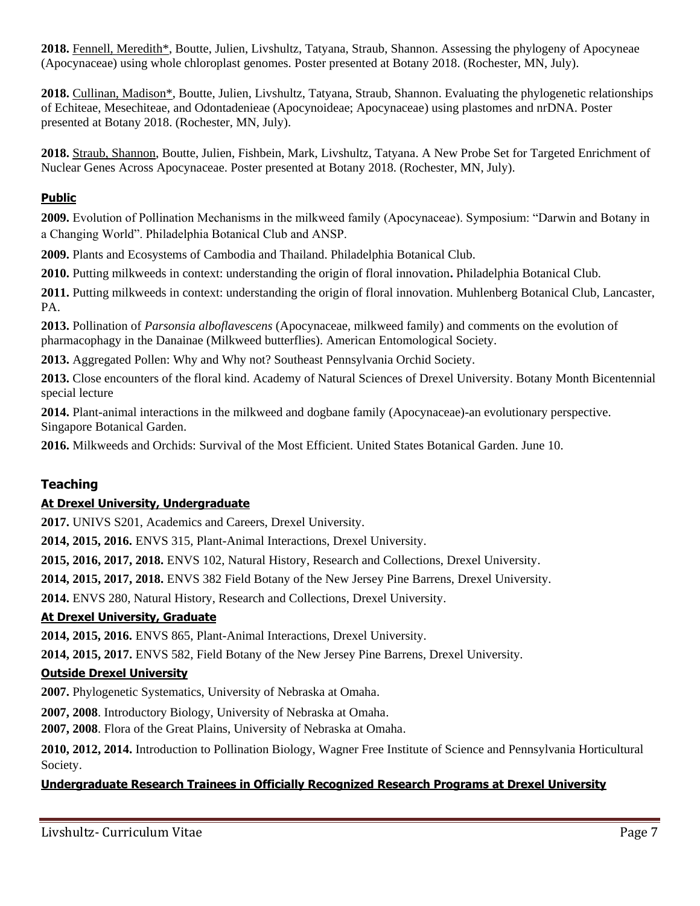**2018.** Fennell, Meredith\*, Boutte, Julien, Livshultz, Tatyana, Straub, Shannon. Assessing the phylogeny of Apocyneae (Apocynaceae) using whole chloroplast genomes. Poster presented at Botany 2018. (Rochester, MN, July).

**2018.** Cullinan, Madison\*, Boutte, Julien, Livshultz, Tatyana, Straub, Shannon. Evaluating the phylogenetic relationships of Echiteae, Mesechiteae, and Odontadenieae (Apocynoideae; Apocynaceae) using plastomes and nrDNA. Poster presented at Botany 2018. (Rochester, MN, July).

**2018.** Straub, Shannon, Boutte, Julien, Fishbein, Mark, Livshultz, Tatyana. A New Probe Set for Targeted Enrichment of Nuclear Genes Across Apocynaceae. Poster presented at Botany 2018. (Rochester, MN, July).

# **Public**

**2009.** Evolution of Pollination Mechanisms in the milkweed family (Apocynaceae). Symposium: "Darwin and Botany in a Changing World". Philadelphia Botanical Club and ANSP.

**2009.** Plants and Ecosystems of Cambodia and Thailand. Philadelphia Botanical Club.

**2010.** Putting milkweeds in context: understanding the origin of floral innovation**.** Philadelphia Botanical Club.

**2011.** Putting milkweeds in context: understanding the origin of floral innovation. Muhlenberg Botanical Club, Lancaster, PA.

**2013.** Pollination of *Parsonsia alboflavescens* (Apocynaceae, milkweed family) and comments on the evolution of pharmacophagy in the Danainae (Milkweed butterflies). American Entomological Society.

**2013.** Aggregated Pollen: Why and Why not? Southeast Pennsylvania Orchid Society.

**2013.** Close encounters of the floral kind. Academy of Natural Sciences of Drexel University. Botany Month Bicentennial special lecture

**2014.** Plant-animal interactions in the milkweed and dogbane family (Apocynaceae)-an evolutionary perspective. Singapore Botanical Garden.

**2016.** Milkweeds and Orchids: Survival of the Most Efficient. United States Botanical Garden. June 10.

# **Teaching**

# **At Drexel University, Undergraduate**

**2017.** UNIVS S201, Academics and Careers, Drexel University.

**2014, 2015, 2016.** ENVS 315, Plant-Animal Interactions, Drexel University.

**2015, 2016, 2017, 2018.** ENVS 102, Natural History, Research and Collections, Drexel University.

**2014, 2015, 2017, 2018.** ENVS 382 Field Botany of the New Jersey Pine Barrens, Drexel University.

**2014.** ENVS 280, Natural History, Research and Collections, Drexel University.

### **At Drexel University, Graduate**

**2014, 2015, 2016.** ENVS 865, Plant-Animal Interactions, Drexel University.

**2014, 2015, 2017.** ENVS 582, Field Botany of the New Jersey Pine Barrens, Drexel University.

### **Outside Drexel University**

**2007.** Phylogenetic Systematics, University of Nebraska at Omaha.

**2007, 2008**. Introductory Biology, University of Nebraska at Omaha.

**2007, 2008**. Flora of the Great Plains, University of Nebraska at Omaha.

**2010, 2012, 2014.** Introduction to Pollination Biology, Wagner Free Institute of Science and Pennsylvania Horticultural Society.

### **Undergraduate Research Trainees in Officially Recognized Research Programs at Drexel University**